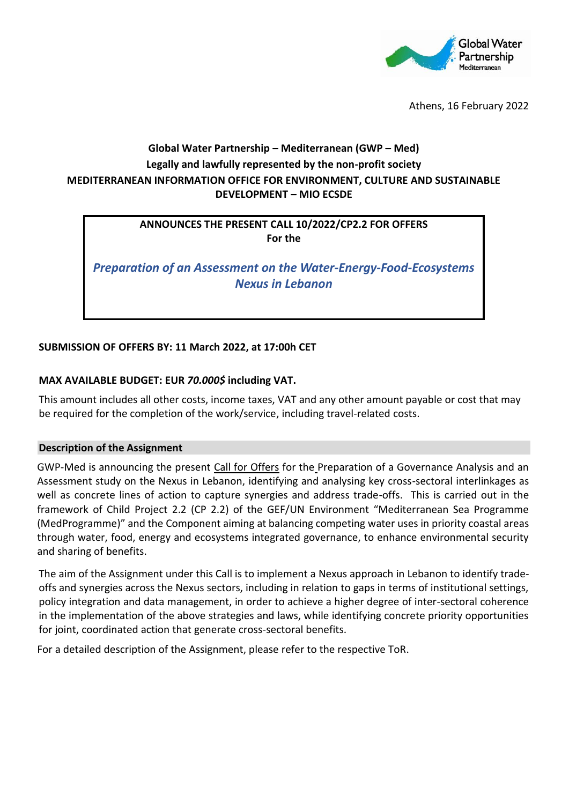

Athens, 16 February 2022

# **Global Water Partnership – Mediterranean (GWP – Med) Legally and lawfully represented by the non-profit society MEDITERRANEAN INFORMATION OFFICE FOR ENVIRONMENT, CULTURE AND SUSTAINABLE DEVELOPMENT – MIO ECSDE**

### **ANNOUNCES THE PRESENT CALL 10/2022/CP2.2 FOR OFFERS For the**

*Preparation of an Assessment on the Water-Energy-Food-Ecosystems Nexus in Lebanon*

# **SUBMISSION OF OFFERS BY: 11 March 2022, at 17:00h CET**

#### **MAX AVAILABLE BUDGET: EUR** *70.000\$* **including VAT.**

This amount includes all other costs, income taxes, VAT and any other amount payable or cost that may be required for the completion of the work/service, including travel-related costs.

#### **Description of the Assignment**

GWP-Med is announcing the present Call for Offers for the Preparation of a Governance Analysis and an Assessment study on the Nexus in Lebanon, identifying and analysing key cross-sectoral interlinkages as well as concrete lines of action to capture synergies and address trade-offs. This is carried out in the framework of Child Project 2.2 (CP 2.2) of the GEF/UN Environment "Mediterranean Sea Programme (MedProgramme)" and the Component aiming at balancing competing water uses in priority coastal areas through water, food, energy and ecosystems integrated governance, to enhance environmental security and sharing of benefits.

The aim of the Assignment under this Call is to implement a Nexus approach in Lebanon to identify tradeoffs and synergies across the Nexus sectors, including in relation to gaps in terms of institutional settings, policy integration and data management, in order to achieve a higher degree of inter-sectoral coherence in the implementation of the above strategies and laws, while identifying concrete priority opportunities for joint, coordinated action that generate cross-sectoral benefits.

For a detailed description of the Assignment, please refer to the respective ToR.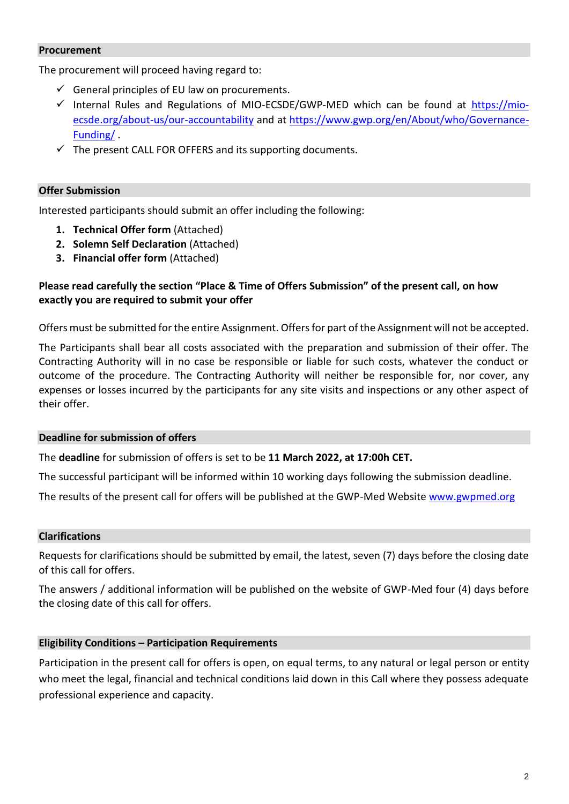#### **Procurement**

The procurement will proceed having regard to:

- $\checkmark$  General principles of EU law on procurements.
- $\checkmark$  Internal Rules and Regulations of MIO-ECSDE/GWP-MED which can be found at [https://mio](https://mio-ecsde.org/about-us/our-accountability)[ecsde.org/about-us/our-accountability](https://mio-ecsde.org/about-us/our-accountability) and at [https://www.gwp.org/en/About/who/Governance-](https://www.gwp.org/en/About/who/Governance-Funding/)[Funding/](https://www.gwp.org/en/About/who/Governance-Funding/) .
- $\checkmark$  The present CALL FOR OFFERS and its supporting documents.

#### **Offer Submission**

Interested participants should submit an offer including the following:

- **1. Technical Offer form** (Attached)
- **2. Solemn Self Declaration** (Attached)
- **3. Financial offer form** (Attached)

## **Please read carefully the section "Place & Time of Offers Submission" of the present call, on how exactly you are required to submit your offer**

Offers must be submitted for the entire Assignment. Offersfor part of the Assignment will not be accepted.

The Participants shall bear all costs associated with the preparation and submission of their offer. The Contracting Authority will in no case be responsible or liable for such costs, whatever the conduct or outcome of the procedure. The Contracting Authority will neither be responsible for, nor cover, any expenses or losses incurred by the participants for any site visits and inspections or any other aspect of their offer.

#### **Deadline for submission of offers**

The **deadline** for submission of offers is set to be **11 March 2022, at 17:00h CET.**

The successful participant will be informed within 10 working days following the submission deadline.

The results of the present call for offers will be published at the GWP-Med Websit[e www.gwpmed.org](http://www.gwpmed.org/)

#### **Clarifications**

Requests for clarifications should be submitted by email, the latest, seven (7) days before the closing date of this call for offers.

The answers / additional information will be published on the website of GWP-Med four (4) days before the closing date of this call for offers.

#### **Eligibility Conditions – Participation Requirements**

Participation in the present call for offers is open, on equal terms, to any natural or legal person or entity who meet the legal, financial and technical conditions laid down in this Call where they possess adequate professional experience and capacity.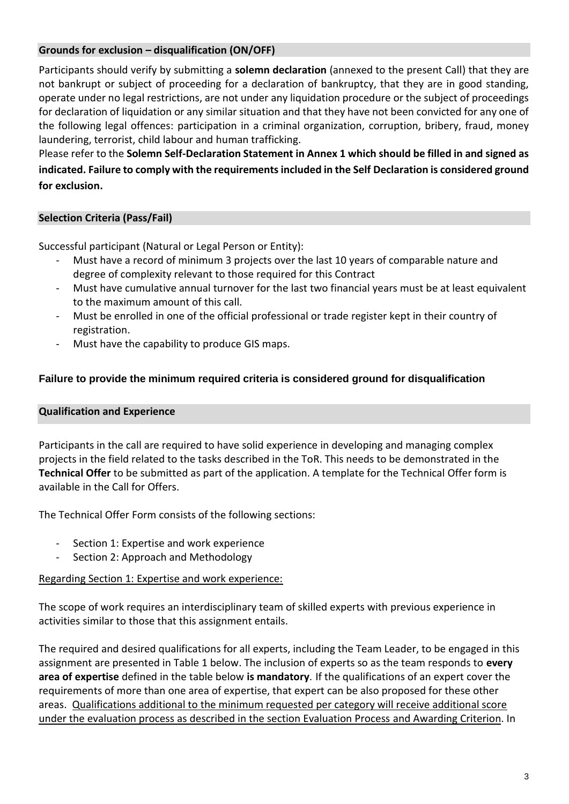# **Grounds for exclusion – disqualification (ON/OFF)**

Participants should verify by submitting a **solemn declaration** (annexed to the present Call) that they are not bankrupt or subject of proceeding for a declaration of bankruptcy, that they are in good standing, operate under no legal restrictions, are not under any liquidation procedure or the subject of proceedings for declaration of liquidation or any similar situation and that they have not been convicted for any one of the following legal offences: participation in a criminal organization, corruption, bribery, fraud, money laundering, terrorist, child labour and human trafficking.

Please refer to the **Solemn Self-Declaration Statement in Annex 1 which should be filled in and signed as indicated. Failure to comply with the requirements included in the Self Declaration is considered ground for exclusion.**

# **Selection Criteria (Pass/Fail)**

Successful participant (Natural or Legal Person or Entity):

- Must have a record of minimum 3 projects over the last 10 years of comparable nature and degree of complexity relevant to those required for this Contract
- Must have cumulative annual turnover for the last two financial years must be at least equivalent to the maximum amount of this call.
- Must be enrolled in one of the official professional or trade register kept in their country of registration.
- Must have the capability to produce GIS maps.

### **Failure to provide the minimum required criteria is considered ground for disqualification**

#### **Qualification and Experience**

Participants in the call are required to have solid experience in developing and managing complex projects in the field related to the tasks described in the ToR. This needs to be demonstrated in the **Technical Offer** to be submitted as part of the application. A template for the Technical Offer form is available in the Call for Offers.

The Technical Offer Form consists of the following sections:

- Section 1: Expertise and work experience
- Section 2: Approach and Methodology

#### Regarding Section 1: Expertise and work experience:

The scope of work requires an interdisciplinary team of skilled experts with previous experience in activities similar to those that this assignment entails.

The required and desired qualifications for all experts, including the Team Leader, to be engaged in this assignment are presented in Table 1 below. The inclusion of experts so as the team responds to **every area of expertise** defined in the table below **is mandatory**. If the qualifications of an expert cover the requirements of more than one area of expertise, that expert can be also proposed for these other areas. Qualifications additional to the minimum requested per category will receive additional score under the evaluation process as described in the section Evaluation Process and Awarding Criterion. In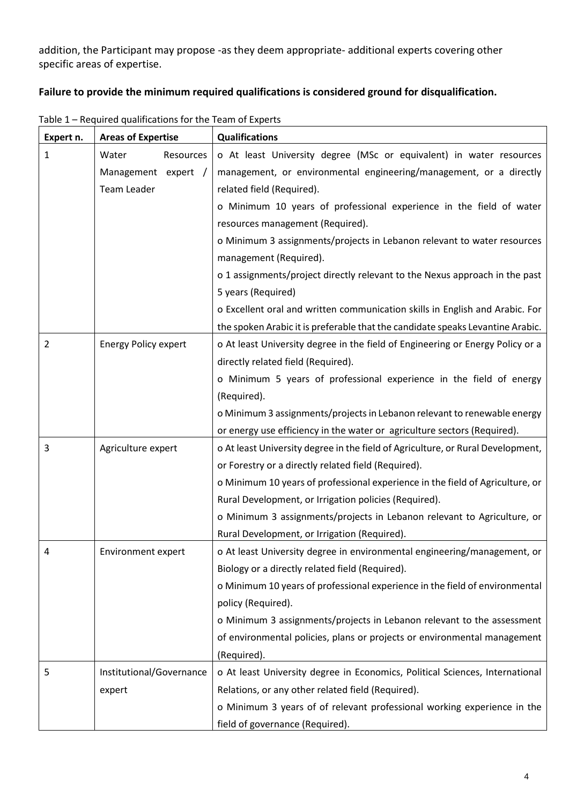addition, the Participant may propose -as they deem appropriate- additional experts covering other specific areas of expertise.

# **Failure to provide the minimum required qualifications is considered ground for disqualification.**

| Expert n.      | <b>Areas of Expertise</b>   | <b>Qualifications</b>                                                           |  |  |
|----------------|-----------------------------|---------------------------------------------------------------------------------|--|--|
| 1              | Water<br>Resources          | o At least University degree (MSc or equivalent) in water resources             |  |  |
|                | Management expert /         | management, or environmental engineering/management, or a directly              |  |  |
|                | Team Leader                 | related field (Required).                                                       |  |  |
|                |                             | o Minimum 10 years of professional experience in the field of water             |  |  |
|                |                             | resources management (Required).                                                |  |  |
|                |                             | o Minimum 3 assignments/projects in Lebanon relevant to water resources         |  |  |
|                |                             | management (Required).                                                          |  |  |
|                |                             | o 1 assignments/project directly relevant to the Nexus approach in the past     |  |  |
|                |                             | 5 years (Required)                                                              |  |  |
|                |                             | o Excellent oral and written communication skills in English and Arabic. For    |  |  |
|                |                             | the spoken Arabic it is preferable that the candidate speaks Levantine Arabic.  |  |  |
| $\overline{2}$ | <b>Energy Policy expert</b> | o At least University degree in the field of Engineering or Energy Policy or a  |  |  |
|                |                             | directly related field (Required).                                              |  |  |
|                |                             | o Minimum 5 years of professional experience in the field of energy             |  |  |
|                |                             | (Required).                                                                     |  |  |
|                |                             | o Minimum 3 assignments/projects in Lebanon relevant to renewable energy        |  |  |
|                |                             | or energy use efficiency in the water or agriculture sectors (Required).        |  |  |
| 3              | Agriculture expert          | o At least University degree in the field of Agriculture, or Rural Development, |  |  |
|                |                             | or Forestry or a directly related field (Required).                             |  |  |
|                |                             | o Minimum 10 years of professional experience in the field of Agriculture, or   |  |  |
|                |                             | Rural Development, or Irrigation policies (Required).                           |  |  |
|                |                             | o Minimum 3 assignments/projects in Lebanon relevant to Agriculture, or         |  |  |
|                |                             | Rural Development, or Irrigation (Required).                                    |  |  |
| 4              | Environment expert          | o At least University degree in environmental engineering/management, or        |  |  |
|                |                             | Biology or a directly related field (Required).                                 |  |  |
|                |                             | o Minimum 10 years of professional experience in the field of environmental     |  |  |
|                |                             | policy (Required).                                                              |  |  |
|                |                             | o Minimum 3 assignments/projects in Lebanon relevant to the assessment          |  |  |
|                |                             | of environmental policies, plans or projects or environmental management        |  |  |
|                |                             | (Required).                                                                     |  |  |
| 5              | Institutional/Governance    | o At least University degree in Economics, Political Sciences, International    |  |  |
|                | expert                      | Relations, or any other related field (Required).                               |  |  |
|                |                             | o Minimum 3 years of of relevant professional working experience in the         |  |  |
|                |                             | field of governance (Required).                                                 |  |  |

Table 1 – Required qualifications for the Team of Experts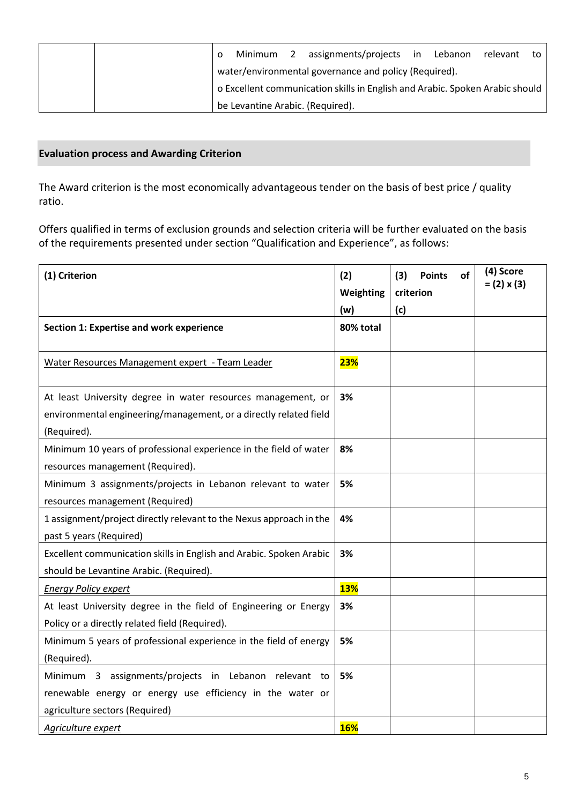|  |                                                                              |                                  |  | Minimum 2 assignments/projects in |  | Lebanon | relevant to |  |
|--|------------------------------------------------------------------------------|----------------------------------|--|-----------------------------------|--|---------|-------------|--|
|  | water/environmental governance and policy (Required).                        |                                  |  |                                   |  |         |             |  |
|  | o Excellent communication skills in English and Arabic. Spoken Arabic should |                                  |  |                                   |  |         |             |  |
|  |                                                                              | be Levantine Arabic. (Required). |  |                                   |  |         |             |  |

# **Evaluation process and Awarding Criterion**

The Award criterion is the most economically advantageous tender on the basis of best price / quality ratio.

Offers qualified in terms of exclusion grounds and selection criteria will be further evaluated on the basis of the requirements presented under section "Qualification and Experience", as follows:

| (1) Criterion                                                       | (2)        | (3) | <b>Points</b> | οf | (4) Score          |
|---------------------------------------------------------------------|------------|-----|---------------|----|--------------------|
|                                                                     | Weighting  |     | criterion     |    | $= (2) \times (3)$ |
|                                                                     | (w)        | (c) |               |    |                    |
| Section 1: Expertise and work experience                            | 80% total  |     |               |    |                    |
|                                                                     |            |     |               |    |                    |
| Water Resources Management expert - Team Leader                     | 23%        |     |               |    |                    |
|                                                                     |            |     |               |    |                    |
| At least University degree in water resources management, or        | 3%         |     |               |    |                    |
| environmental engineering/management, or a directly related field   |            |     |               |    |                    |
| (Required).                                                         |            |     |               |    |                    |
| Minimum 10 years of professional experience in the field of water   | 8%         |     |               |    |                    |
| resources management (Required).                                    |            |     |               |    |                    |
| Minimum 3 assignments/projects in Lebanon relevant to water         | 5%         |     |               |    |                    |
| resources management (Required)                                     |            |     |               |    |                    |
| 1 assignment/project directly relevant to the Nexus approach in the | 4%         |     |               |    |                    |
| past 5 years (Required)                                             |            |     |               |    |                    |
| Excellent communication skills in English and Arabic. Spoken Arabic | 3%         |     |               |    |                    |
| should be Levantine Arabic. (Required).                             |            |     |               |    |                    |
| Energy Policy expert                                                | <b>13%</b> |     |               |    |                    |
| At least University degree in the field of Engineering or Energy    | 3%         |     |               |    |                    |
| Policy or a directly related field (Required).                      |            |     |               |    |                    |
| Minimum 5 years of professional experience in the field of energy   | 5%         |     |               |    |                    |
| (Required).                                                         |            |     |               |    |                    |
| Minimum 3 assignments/projects in Lebanon relevant to               | 5%         |     |               |    |                    |
| renewable energy or energy use efficiency in the water or           |            |     |               |    |                    |
| agriculture sectors (Required)                                      |            |     |               |    |                    |
| Agriculture expert                                                  | <b>16%</b> |     |               |    |                    |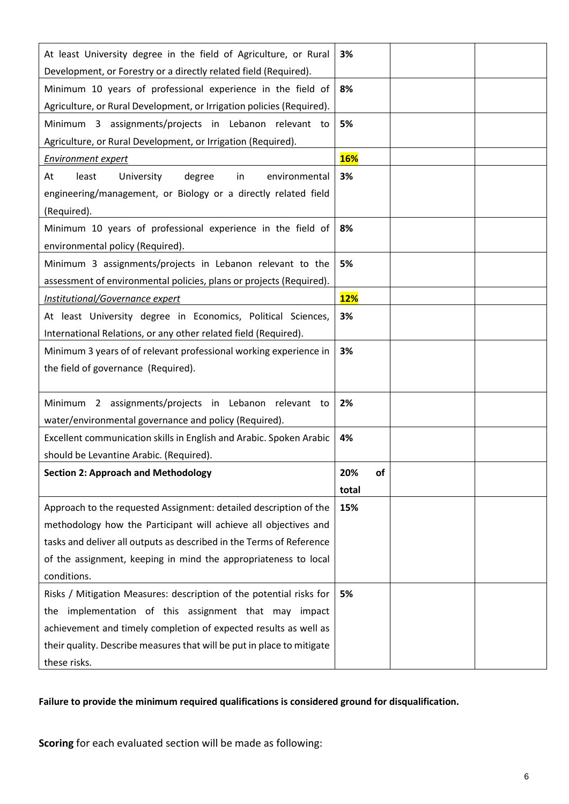| At least University degree in the field of Agriculture, or Rural       | 3%         |  |
|------------------------------------------------------------------------|------------|--|
| Development, or Forestry or a directly related field (Required).       |            |  |
| Minimum 10 years of professional experience in the field of            | 8%         |  |
| Agriculture, or Rural Development, or Irrigation policies (Required).  |            |  |
| Minimum 3 assignments/projects in Lebanon relevant to                  | 5%         |  |
| Agriculture, or Rural Development, or Irrigation (Required).           |            |  |
| Environment expert                                                     | <b>16%</b> |  |
| At<br>University<br>degree<br>environmental<br>least<br>in             | 3%         |  |
| engineering/management, or Biology or a directly related field         |            |  |
| (Required).                                                            |            |  |
| Minimum 10 years of professional experience in the field of            | 8%         |  |
| environmental policy (Required).                                       |            |  |
| Minimum 3 assignments/projects in Lebanon relevant to the              | 5%         |  |
| assessment of environmental policies, plans or projects (Required).    |            |  |
| Institutional/Governance expert                                        | <b>12%</b> |  |
| At least University degree in Economics, Political Sciences,           | 3%         |  |
| International Relations, or any other related field (Required).        |            |  |
| Minimum 3 years of of relevant professional working experience in      | 3%         |  |
| the field of governance (Required).                                    |            |  |
|                                                                        |            |  |
| Minimum 2 assignments/projects in Lebanon relevant to                  | 2%         |  |
| water/environmental governance and policy (Required).                  |            |  |
| Excellent communication skills in English and Arabic. Spoken Arabic    | 4%         |  |
| should be Levantine Arabic. (Required).                                |            |  |
| <b>Section 2: Approach and Methodology</b>                             | 20%<br>of  |  |
|                                                                        | total      |  |
| Approach to the requested Assignment: detailed description of the      | 15%        |  |
| methodology how the Participant will achieve all objectives and        |            |  |
| tasks and deliver all outputs as described in the Terms of Reference   |            |  |
| of the assignment, keeping in mind the appropriateness to local        |            |  |
| conditions.                                                            |            |  |
| Risks / Mitigation Measures: description of the potential risks for    | 5%         |  |
| implementation of this assignment that may impact<br>the               |            |  |
| achievement and timely completion of expected results as well as       |            |  |
| their quality. Describe measures that will be put in place to mitigate |            |  |
| these risks.                                                           |            |  |

# **Failure to provide the minimum required qualifications is considered ground for disqualification.**

**Scoring** for each evaluated section will be made as following: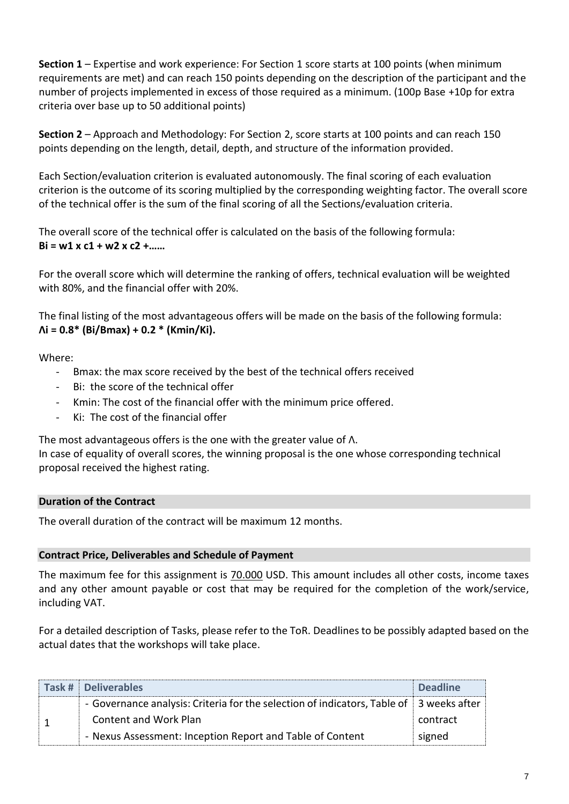**Section 1** – Expertise and work experience: For Section 1 score starts at 100 points (when minimum requirements are met) and can reach 150 points depending on the description of the participant and the number of projects implemented in excess of those required as a minimum. (100p Base +10p for extra criteria over base up to 50 additional points)

**Section 2** – Approach and Methodology: For Section 2, score starts at 100 points and can reach 150 points depending on the length, detail, depth, and structure of the information provided.

Each Section/evaluation criterion is evaluated autonomously. The final scoring of each evaluation criterion is the outcome of its scoring multiplied by the corresponding weighting factor. The overall score of the technical offer is the sum of the final scoring of all the Sections/evaluation criteria.

The overall score of the technical offer is calculated on the basis of the following formula: **Bi = w1 x c1 + w2 x c2 +……**

For the overall score which will determine the ranking of offers, technical evaluation will be weighted with 80%, and the financial offer with 20%.

The final listing of the most advantageous offers will be made on the basis of the following formula: **Λi = 0.8\* (Bi/Bmax) + 0.2 \* (Kmin/Ki).**

Where:

- Bmax: the max score received by the best of the technical offers received
- Bi: the score of the technical offer
- Kmin: The cost of the financial offer with the minimum price offered.
- Ki: The cost of the financial offer

The most advantageous offers is the one with the greater value of Λ.

In case of equality of overall scores, the winning proposal is the one whose corresponding technical proposal received the highest rating.

# **Duration of the Contract**

The overall duration of the contract will be maximum 12 months.

# **Contract Price, Deliverables and Schedule of Payment**

The maximum fee for this assignment is 70.000 USD. This amount includes all other costs, income taxes and any other amount payable or cost that may be required for the completion of the work/service, including VAT.

For a detailed description of Tasks, please refer to the ToR. Deadlines to be possibly adapted based on the actual dates that the workshops will take place.

| Task # Deliverables                                                                     | <b>Deadline</b> |
|-----------------------------------------------------------------------------------------|-----------------|
| - Governance analysis: Criteria for the selection of indicators, Table of 3 weeks after |                 |
| <b>Content and Work Plan</b>                                                            | contract        |
| - Nexus Assessment: Inception Report and Table of Content                               | signed          |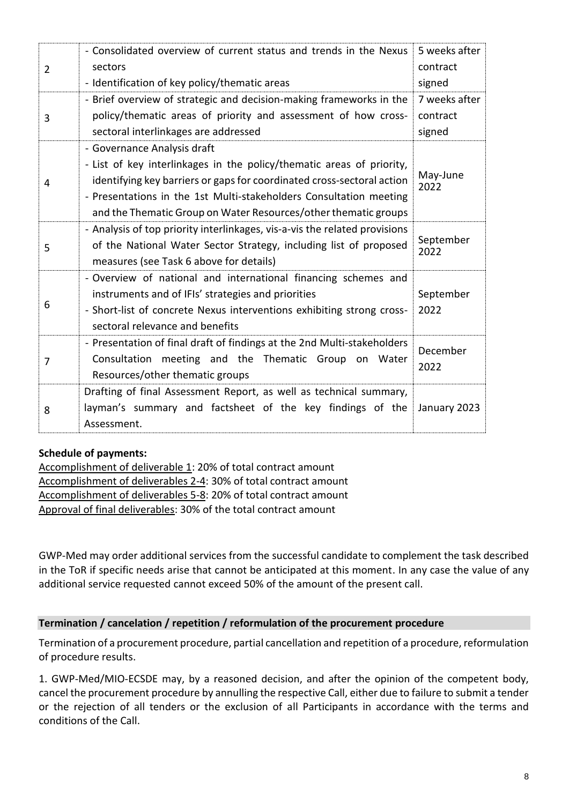| $\overline{2}$ | - Consolidated overview of current status and trends in the Nexus<br>sectors<br>- Identification of key policy/thematic areas                                                                                                                                                                                           | 5 weeks after<br>contract<br>signed |
|----------------|-------------------------------------------------------------------------------------------------------------------------------------------------------------------------------------------------------------------------------------------------------------------------------------------------------------------------|-------------------------------------|
| 3              | - Brief overview of strategic and decision-making frameworks in the<br>policy/thematic areas of priority and assessment of how cross-<br>sectoral interlinkages are addressed                                                                                                                                           | 7 weeks after<br>contract<br>signed |
| 4              | - Governance Analysis draft<br>- List of key interlinkages in the policy/thematic areas of priority,<br>identifying key barriers or gaps for coordinated cross-sectoral action<br>- Presentations in the 1st Multi-stakeholders Consultation meeting<br>and the Thematic Group on Water Resources/other thematic groups | May-June<br>2022                    |
| 5              | - Analysis of top priority interlinkages, vis-a-vis the related provisions<br>of the National Water Sector Strategy, including list of proposed<br>measures (see Task 6 above for details)                                                                                                                              | September<br>2022                   |
| 6              | - Overview of national and international financing schemes and<br>instruments and of IFIs' strategies and priorities<br>- Short-list of concrete Nexus interventions exhibiting strong cross-<br>sectoral relevance and benefits                                                                                        | September<br>2022                   |
| 7              | - Presentation of final draft of findings at the 2nd Multi-stakeholders<br>Consultation meeting and the Thematic Group on Water<br>Resources/other thematic groups                                                                                                                                                      | December<br>2022                    |
| 8              | Drafting of final Assessment Report, as well as technical summary,<br>layman's summary and factsheet of the key findings of the<br>Assessment.                                                                                                                                                                          | January 2023                        |

# **Schedule of payments:**

Accomplishment of deliverable 1: 20% of total contract amount Accomplishment of deliverables 2-4: 30% of total contract amount Accomplishment of deliverables 5-8: 20% of total contract amount Approval of final deliverables: 30% of the total contract amount

GWP-Med may order additional services from the successful candidate to complement the task described in the ToR if specific needs arise that cannot be anticipated at this moment. In any case the value of any additional service requested cannot exceed 50% of the amount of the present call.

# **Termination / cancelation / repetition / reformulation of the procurement procedure**

Termination of a procurement procedure, partial cancellation and repetition of a procedure, reformulation of procedure results.

1. GWP-Med/MIO-ECSDE may, by a reasoned decision, and after the opinion of the competent body, cancel the procurement procedure by annulling the respective Call, either due to failure to submit a tender or the rejection of all tenders or the exclusion of all Participants in accordance with the terms and conditions of the Call.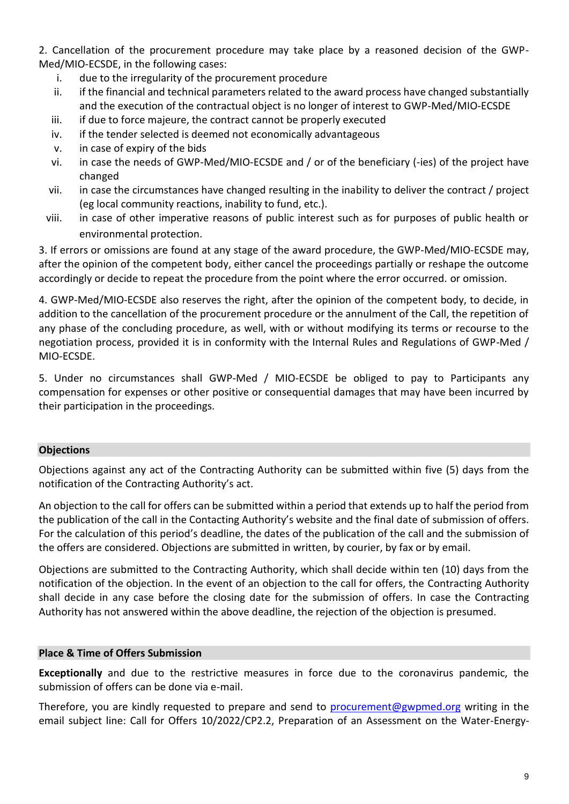2. Cancellation of the procurement procedure may take place by a reasoned decision of the GWP-Med/MIO-ECSDE, in the following cases:

- i. due to the irregularity of the procurement procedure
- ii. if the financial and technical parameters related to the award process have changed substantially and the execution of the contractual object is no longer of interest to GWP-Med/MIO-ECSDE
- iii. if due to force majeure, the contract cannot be properly executed
- iv. if the tender selected is deemed not economically advantageous
- v. in case of expiry of the bids
- vi. in case the needs of GWP-Med/MIO-ECSDE and / or of the beneficiary (-ies) of the project have changed
- vii. in case the circumstances have changed resulting in the inability to deliver the contract / project (eg local community reactions, inability to fund, etc.).
- viii. in case of other imperative reasons of public interest such as for purposes of public health or environmental protection.

3. If errors or omissions are found at any stage of the award procedure, the GWP-Med/MIO-ECSDE may, after the opinion of the competent body, either cancel the proceedings partially or reshape the outcome accordingly or decide to repeat the procedure from the point where the error occurred. or omission.

4. GWP-Med/MIO-ECSDE also reserves the right, after the opinion of the competent body, to decide, in addition to the cancellation of the procurement procedure or the annulment of the Call, the repetition of any phase of the concluding procedure, as well, with or without modifying its terms or recourse to the negotiation process, provided it is in conformity with the Internal Rules and Regulations of GWP-Med / MIO-ECSDE.

5. Under no circumstances shall GWP-Med / MIO-ECSDE be obliged to pay to Participants any compensation for expenses or other positive or consequential damages that may have been incurred by their participation in the proceedings.

# **Objections**

Objections against any act of the Contracting Authority can be submitted within five (5) days from the notification of the Contracting Authority's act.

An objection to the call for offers can be submitted within a period that extends up to half the period from the publication of the call in the Contacting Authority's website and the final date of submission of offers. For the calculation of this period's deadline, the dates of the publication of the call and the submission of the offers are considered. Objections are submitted in written, by courier, by fax or by email.

Objections are submitted to the Contracting Authority, which shall decide within ten (10) days from the notification of the objection. In the event of an objection to the call for offers, the Contracting Authority shall decide in any case before the closing date for the submission of offers. In case the Contracting Authority has not answered within the above deadline, the rejection of the objection is presumed.

# **Place & Time of Offers Submission**

**Exceptionally** and due to the restrictive measures in force due to the coronavirus pandemic, the submission of offers can be done via e-mail.

Therefore, you are kindly requested to prepare and send to [procurement@gwpmed.org](mailto:procurement@gwpmed.org) writing in the email subject line: Call for Offers 10/2022/CP2.2, Preparation of an Assessment on the Water-Energy